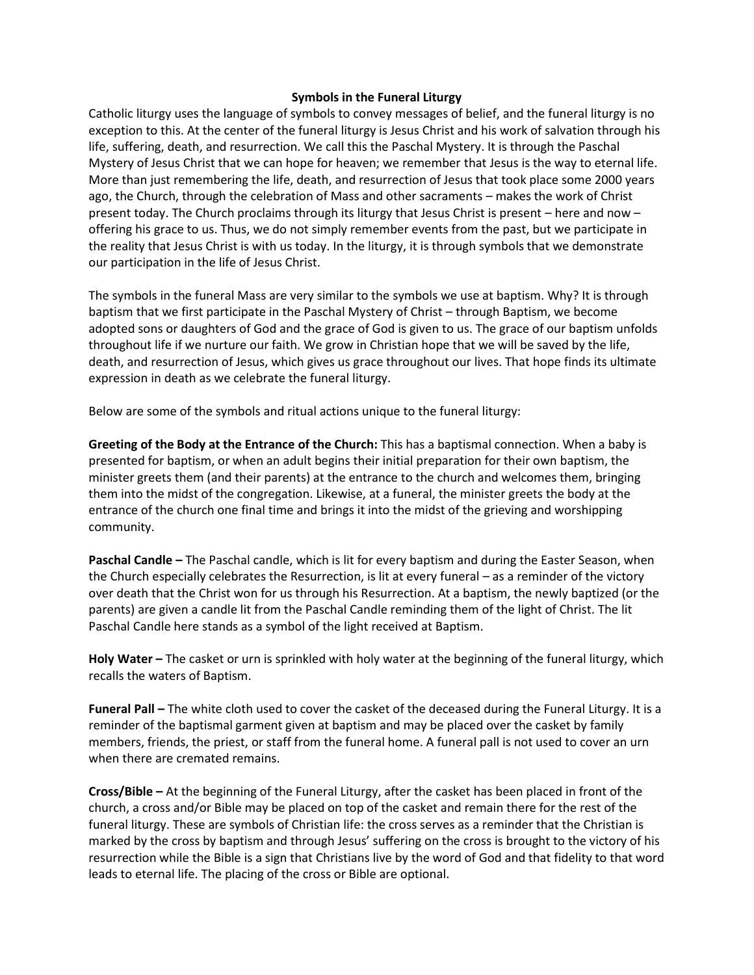## **Symbols in the Funeral Liturgy**

Catholic liturgy uses the language of symbols to convey messages of belief, and the funeral liturgy is no exception to this. At the center of the funeral liturgy is Jesus Christ and his work of salvation through his life, suffering, death, and resurrection. We call this the Paschal Mystery. It is through the Paschal Mystery of Jesus Christ that we can hope for heaven; we remember that Jesus is the way to eternal life. More than just remembering the life, death, and resurrection of Jesus that took place some 2000 years ago, the Church, through the celebration of Mass and other sacraments – makes the work of Christ present today. The Church proclaims through its liturgy that Jesus Christ is present – here and now – offering his grace to us. Thus, we do not simply remember events from the past, but we participate in the reality that Jesus Christ is with us today. In the liturgy, it is through symbols that we demonstrate our participation in the life of Jesus Christ.

The symbols in the funeral Mass are very similar to the symbols we use at baptism. Why? It is through baptism that we first participate in the Paschal Mystery of Christ – through Baptism, we become adopted sons or daughters of God and the grace of God is given to us. The grace of our baptism unfolds throughout life if we nurture our faith. We grow in Christian hope that we will be saved by the life, death, and resurrection of Jesus, which gives us grace throughout our lives. That hope finds its ultimate expression in death as we celebrate the funeral liturgy.

Below are some of the symbols and ritual actions unique to the funeral liturgy:

**Greeting of the Body at the Entrance of the Church:** This has a baptismal connection. When a baby is presented for baptism, or when an adult begins their initial preparation for their own baptism, the minister greets them (and their parents) at the entrance to the church and welcomes them, bringing them into the midst of the congregation. Likewise, at a funeral, the minister greets the body at the entrance of the church one final time and brings it into the midst of the grieving and worshipping community.

**Paschal Candle –** The Paschal candle, which is lit for every baptism and during the Easter Season, when the Church especially celebrates the Resurrection, is lit at every funeral – as a reminder of the victory over death that the Christ won for us through his Resurrection. At a baptism, the newly baptized (or the parents) are given a candle lit from the Paschal Candle reminding them of the light of Christ. The lit Paschal Candle here stands as a symbol of the light received at Baptism.

**Holy Water –** The casket or urn is sprinkled with holy water at the beginning of the funeral liturgy, which recalls the waters of Baptism.

**Funeral Pall –** The white cloth used to cover the casket of the deceased during the Funeral Liturgy. It is a reminder of the baptismal garment given at baptism and may be placed over the casket by family members, friends, the priest, or staff from the funeral home. A funeral pall is not used to cover an urn when there are cremated remains.

**Cross/Bible –** At the beginning of the Funeral Liturgy, after the casket has been placed in front of the church, a cross and/or Bible may be placed on top of the casket and remain there for the rest of the funeral liturgy. These are symbols of Christian life: the cross serves as a reminder that the Christian is marked by the cross by baptism and through Jesus' suffering on the cross is brought to the victory of his resurrection while the Bible is a sign that Christians live by the word of God and that fidelity to that word leads to eternal life. The placing of the cross or Bible are optional.